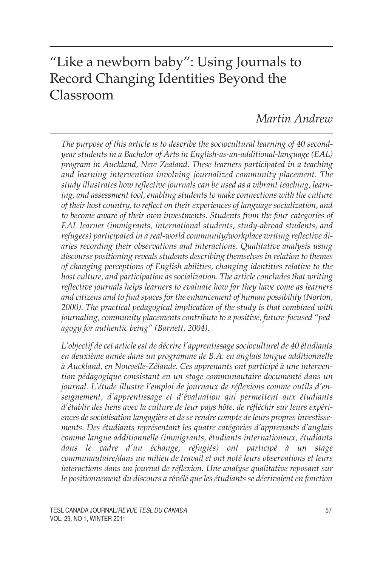# "Like a newborn baby": Using Journals to Record Changing Identities Beyond the Classroom

# *Martin Andrew*

*The purpose of this article is to describe the sociocultural learning of 40 secondyear students in a Bachelor of Arts in English-as-an-additional-language (EAL) program in Auckland, New Zealand. These learners participated in a teaching and learning intervention involving journalized community placement. The study illustrates how reflective journals can be used as a vibrant teaching, learning, and assessment tool, enabling students to make connections with the culture of their host country, to reflect on their experiences of language socialization, and to become aware of their own investments. Students from the four categories of EAL learner (immigrants, international students, study-abroad students, and refugees) participated in a real-world community/workplace writing reflective diaries recording their observations and interactions. Qualitative analysis using discourse positioning reveals students describing themselves in relation to themes of changing perceptions of English abilities, changing identities relative to the host culture, and participation as socialization. The article concludes that writing reflective journals helps learners to evaluate how far they have come as learners and citizens and to find spaces for the enhancement of human possibility (Norton, 2000). The practical pedagogical implication of the study is that combined with journaling, community placements contribute to a positive, future-focused "pedagogy for authentic being" (Barnett, 2004).*

*L'objectif de cet article est de décrire l'apprentissage socioculturel de 40 étudiants en deuxième année dans un programme de B.A. en anglais langue additionnelle à Auckland, en Nouvelle-Zélande. Ces apprenants ont participé à une intervention pédagogique consistant en un stage communautaire documenté dans un journal. L'étude illustre l'emploi de journaux de réflexions comme outils d'enseignement, d'apprentissage et d'évaluation qui permettent aux étudiants d'établir des liens avec la culture de leur pays hôte, de réfléchir sur leurs expériences de socialisation langagière et de se rendre compte de leurs propres investissements. Des étudiants représentant les quatre catégories d'apprenants d'anglais comme langue additionnelle (immigrants, étudiants internationaux, étudiants dans le cadre d'un échange, réfugiés) ont participé à un stage communautaire/dans un milieu de travail et ont noté leurs observations et leurs interactions dans un journal de réflexion. Une analyse qualitative reposant sur le positionnement du discours a révélé que les étudiants se décrivaient en fonction*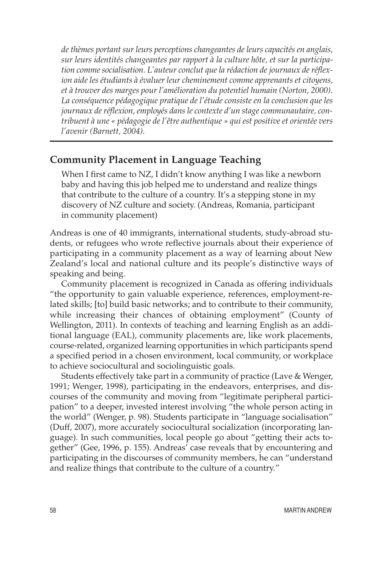*de thèmes portant sur leurs perceptions changeantes de leurs capacités en anglais, sur leurs identités changeantes par rapport à la culture hôte, et sur la participation comme socialisation. L'auteur conclut que la rédaction de journaux de réflexion aide les étudiants à évaluer leur cheminement comme apprenants et citoyens, et à trouver des marges pour l'amélioration du potentiel humain (Norton, 2000). La conséquence pédagogique pratique de l'étude consiste en la conclusion que les journaux de réflexion, employés dans le contexte d'un stage communautaire, contribuent à une « pédagogie de l'être authentique » qui est positive et orientée vers l'avenir (Barnett, 2004).*

### **Community Placement in Language Teaching**

When I first came to NZ, I didn't know anything I was like a newborn baby and having this job helped me to understand and realize things that contribute to the culture of a country. It's a stepping stone in my discovery of NZ culture and society. (Andreas, Romania, participant in community placement)

Andreas is one of 40 immigrants, international students, study-abroad students, or refugees who wrote reflective journals about their experience of participating in a community placement as a way of learning about New Zealand's local and national culture and its people's distinctive ways of speaking and being.

Community placement is recognized in Canada as offering individuals "the opportunity to gain valuable experience, references, employment-related skills; [to] build basic networks; and to contribute to their community, while increasing their chances of obtaining employment" (County of Wellington, 2011). In contexts of teaching and learning English as an additional language (EAL), community placements are, like work placements, course-related, organized learning opportunities in which participants spend a specified period in a chosen environment, local community, or workplace to achieve sociocultural and sociolinguistic goals.

Students effectively take part in a community of practice (Lave & Wenger, 1991; Wenger, 1998), participating in the endeavors, enterprises, and discourses of the community and moving from "legitimate peripheral participation" to a deeper, invested interest involving "the whole person acting in the world" (Wenger, p. 98). Students participate in "language socialisation" (Duff, 2007), more accurately sociocultural socialization (incorporating language). In such communities, local people go about "getting their acts together" (Gee, 1996, p. 155). Andreas' case reveals that by encountering and participating in the discourses of community members, he can "understand and realize things that contribute to the culture of a country."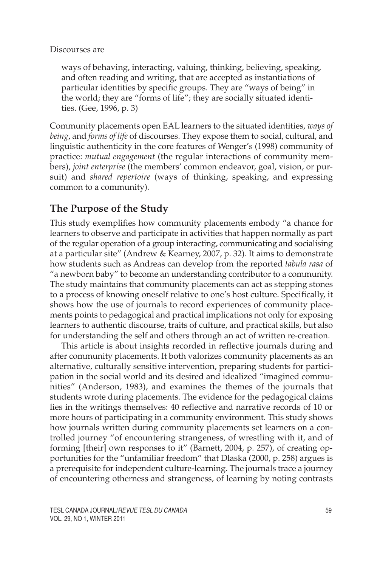#### Discourses are

ways of behaving, interacting, valuing, thinking, believing, speaking, and often reading and writing, that are accepted as instantiations of particular identities by specific groups. They are "ways of being" in the world; they are "forms of life"; they are socially situated identities. (Gee, 1996, p. 3)

Community placements open EAL learners to the situated identities, *ways of being*, and *forms of life* of discourses. They expose them to social, cultural, and linguistic authenticity in the core features of Wenger's (1998) community of practice: *mutual engagement* (the regular interactions of community members), *joint enterprise* (the members' common endeavor, goal, vision, or pursuit) and *shared repertoire* (ways of thinking, speaking, and expressing common to a community).

# **The Purpose of the Study**

This study exemplifies how community placements embody "a chance for learners to observe and participate in activities that happen normally as part of the regular operation of a group interacting, communicating and socialising at a particular site" (Andrew & Kearney, 2007, p. 32). It aims to demonstrate how students such as Andreas can develop from the reported *tabula rasa* of "a newborn baby" to become an understanding contributor to a community. The study maintains that community placements can act as stepping stones to a process of knowing oneself relative to one's host culture. Specifically, it shows how the use of journals to record experiences of community placements points to pedagogical and practical implications not only for exposing learners to authentic discourse, traits of culture, and practical skills, but also for understanding the self and others through an act of written re-creation.

This article is about insights recorded in reflective journals during and after community placements. It both valorizes community placements as an alternative, culturally sensitive intervention, preparing students for participation in the social world and its desired and idealized "imagined communities" (Anderson, 1983), and examines the themes of the journals that students wrote during placements. The evidence for the pedagogical claims lies in the writings themselves: 40 reflective and narrative records of 10 or more hours of participating in a community environment. This study shows how journals written during community placements set learners on a controlled journey "of encountering strangeness, of wrestling with it, and of forming [their] own responses to it" (Barnett, 2004, p. 257), of creating opportunities for the "unfamiliar freedom" that Dlaska (2000, p. 258) argues is a prerequisite for independent culture-learning. The journals trace a journey of encountering otherness and strangeness, of learning by noting contrasts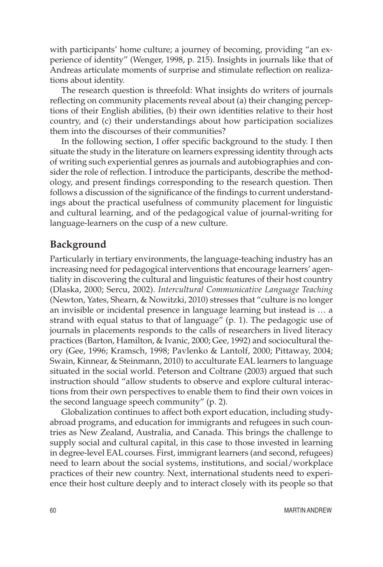with participants' home culture; a journey of becoming, providing "an experience of identity" (Wenger, 1998, p. 215). Insights in journals like that of Andreas articulate moments of surprise and stimulate reflection on realizations about identity.

The research question is threefold: What insights do writers of journals reflecting on community placements reveal about (a) their changing perceptions of their English abilities, (b) their own identities relative to their host country, and (c) their understandings about how participation socializes them into the discourses of their communities?

In the following section, I offer specific background to the study. I then situate the study in the literature on learners expressing identity through acts of writing such experiential genres as journals and autobiographies and consider the role of reflection. I introduce the participants, describe the methodology, and present findings corresponding to the research question. Then follows a discussion of the significance of the findings to current understandings about the practical usefulness of community placement for linguistic and cultural learning, and of the pedagogical value of journal-writing for language-learners on the cusp of a new culture.

#### **Background**

Particularly in tertiary environments, the language-teaching industry has an increasing need for pedagogical interventions that encourage learners' agentiality in discovering the cultural and linguistic features of their host country (Dlaska, 2000; Sercu, 2002). *Intercultural Communicative Language Teaching* (Newton, Yates, Shearn, & Nowitzki, 2010) stresses that "culture is no longer an invisible or incidental presence in language learning but instead is … a strand with equal status to that of language" (p. 1). The pedagogic use of journals in placements responds to the calls of researchers in lived literacy practices (Barton, Hamilton, & Ivanic, 2000; Gee, 1992) and sociocultural theory (Gee, 1996; Kramsch, 1998; Pavlenko & Lantolf, 2000; Pittaway, 2004; Swain, Kinnear, & Steinmann, 2010) to acculturate EAL learners to language situated in the social world. Peterson and Coltrane (2003) argued that such instruction should "allow students to observe and explore cultural interactions from their own perspectives to enable them to find their own voices in the second language speech community" (p. 2).

Globalization continues to affect both export education, including studyabroad programs, and education for immigrants and refugees in such countries as New Zealand, Australia, and Canada. This brings the challenge to supply social and cultural capital, in this case to those invested in learning in degree-level EAL courses. First, immigrant learners (and second, refugees) need to learn about the social systems, institutions, and social/workplace practices of their new country. Next, international students need to experience their host culture deeply and to interact closely with its people so that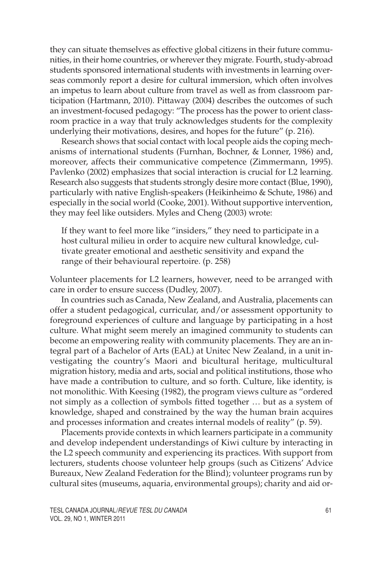they can situate themselves as effective global citizens in their future communities, in their home countries, or wherever they migrate. Fourth, study-abroad students sponsored international students with investments in learning overseas commonly report a desire for cultural immersion, which often involves an impetus to learn about culture from travel as well as from classroom participation (Hartmann, 2010). Pittaway (2004) describes the outcomes of such an investment-focused pedagogy: "The process has the power to orient classroom practice in a way that truly acknowledges students for the complexity underlying their motivations, desires, and hopes for the future" (p. 216).

Research shows that social contact with local people aids the coping mechanisms of international students (Furnhan, Bochner, & Lonner, 1986) and, moreover, affects their communicative competence (Zimmermann, 1995). Pavlenko (2002) emphasizes that social interaction is crucial for L2 learning. Research also suggests that students strongly desire more contact (Blue, 1990), particularly with native English-speakers (Heikinheimo & Schute, 1986) and especially in the social world (Cooke, 2001). Without supportive intervention, they may feel like outsiders. Myles and Cheng (2003) wrote:

If they want to feel more like "insiders," they need to participate in a host cultural milieu in order to acquire new cultural knowledge, cultivate greater emotional and aesthetic sensitivity and expand the range of their behavioural repertoire. (p. 258)

Volunteer placements for L2 learners, however, need to be arranged with care in order to ensure success (Dudley, 2007).

In countries such as Canada, New Zealand, and Australia, placements can offer a student pedagogical, curricular, and/or assessment opportunity to foreground experiences of culture and language by participating in a host culture. What might seem merely an imagined community to students can become an empowering reality with community placements. They are an integral part of a Bachelor of Arts (EAL) at Unitec New Zealand, in a unit investigating the country's Maori and bicultural heritage, multicultural migration history, media and arts, social and political institutions, those who have made a contribution to culture, and so forth. Culture, like identity, is not monolithic. With Keesing (1982), the program views culture as "ordered not simply as a collection of symbols fitted together … but as a system of knowledge, shaped and constrained by the way the human brain acquires and processes information and creates internal models of reality" (p. 59).

Placements provide contexts in which learners participate in a community and develop independent understandings of Kiwi culture by interacting in the L2 speech community and experiencing its practices. With support from lecturers, students choose volunteer help groups (such as Citizens' Advice Bureaux, New Zealand Federation for the Blind); volunteer programs run by cultural sites (museums, aquaria, environmental groups); charity and aid or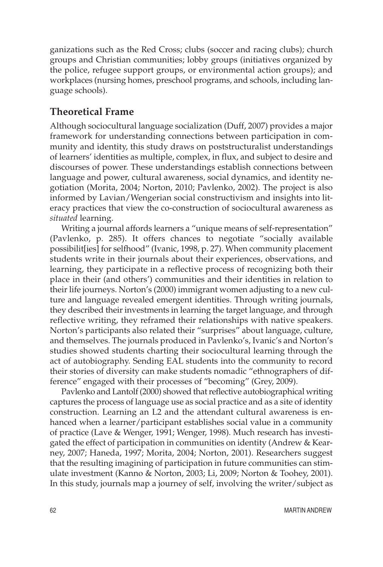ganizations such as the Red Cross; clubs (soccer and racing clubs); church groups and Christian communities; lobby groups (initiatives organized by the police, refugee support groups, or environmental action groups); and workplaces (nursing homes, preschool programs, and schools, including language schools).

# **Theoretical Frame**

Although sociocultural language socialization (Duff, 2007) provides a major framework for understanding connections between participation in community and identity, this study draws on poststructuralist understandings of learners' identities as multiple, complex, in flux, and subject to desire and discourses of power. These understandings establish connections between language and power, cultural awareness, social dynamics, and identity negotiation (Morita, 2004; Norton, 2010; Pavlenko, 2002). The project is also informed by Lavian/Wengerian social constructivism and insights into literacy practices that view the co-construction of sociocultural awareness as *situated* learning.

Writing a journal affords learners a "unique means of self-representation" (Pavlenko, p. 285). It offers chances to negotiate "socially available possibilit[ies] for selfhood" (Ivanic, 1998, p. 27). When community placement students write in their journals about their experiences, observations, and learning, they participate in a reflective process of recognizing both their place in their (and others') communities and their identities in relation to their life journeys. Norton's (2000) immigrant women adjusting to a new culture and language revealed emergent identities. Through writing journals, they described their investments in learning the target language, and through reflective writing, they reframed their relationships with native speakers. Norton's participants also related their "surprises" about language, culture, and themselves. The journals produced in Pavlenko's, Ivanic's and Norton's studies showed students charting their sociocultural learning through the act of autobiography. Sending EAL students into the community to record their stories of diversity can make students nomadic "ethnographers of difference" engaged with their processes of "becoming" (Grey, 2009).

Pavlenko and Lantolf (2000) showed that reflective autobiographical writing captures the process of language use as social practice and as a site of identity construction. Learning an L2 and the attendant cultural awareness is enhanced when a learner/participant establishes social value in a community of practice (Lave & Wenger, 1991; Wenger, 1998). Much research has investigated the effect of participation in communities on identity (Andrew & Kearney, 2007; Haneda, 1997; Morita, 2004; Norton, 2001). Researchers suggest that the resulting imagining of participation in future communities can stimulate investment (Kanno & Norton, 2003; Li, 2009; Norton & Toohey, 2001). In this study, journals map a journey of self, involving the writer/subject as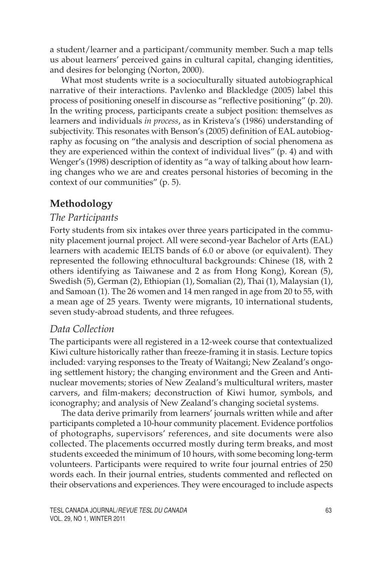a student/learner and a participant/community member. Such a map tells us about learners' perceived gains in cultural capital, changing identities, and desires for belonging (Norton, 2000).

What most students write is a socioculturally situated autobiographical narrative of their interactions. Pavlenko and Blackledge (2005) label this process of positioning oneself in discourse as "reflective positioning" (p. 20). In the writing process, participants create a subject position: themselves as learners and individuals *in process*, as in Kristeva's (1986) understanding of subjectivity. This resonates with Benson's (2005) definition of EAL autobiography as focusing on "the analysis and description of social phenomena as they are experienced within the context of individual lives" (p. 4) and with Wenger's (1998) description of identity as "a way of talking about how learning changes who we are and creates personal histories of becoming in the context of our communities" (p. 5).

# **Methodology**

# *The Participants*

Forty students from six intakes over three years participated in the community placement journal project. All were second-year Bachelor of Arts (EAL) learners with academic IELTS bands of 6.0 or above (or equivalent). They represented the following ethnocultural backgrounds: Chinese (18, with 2 others identifying as Taiwanese and 2 as from Hong Kong), Korean (5), Swedish (5), German (2), Ethiopian (1), Somalian (2), Thai (1), Malaysian (1), and Samoan (1). The 26 women and 14 men ranged in age from 20 to 55, with a mean age of 25 years. Twenty were migrants, 10 international students, seven study-abroad students, and three refugees.

# *Data Collection*

The participants were all registered in a 12-week course that contextualized Kiwi culture historically rather than freeze-framing it in stasis. Lecture topics included: varying responses to the Treaty of Waitangi; New Zealand's ongoing settlement history; the changing environment and the Green and Antinuclear movements; stories of New Zealand's multicultural writers, master carvers, and film-makers; deconstruction of Kiwi humor, symbols, and iconography; and analysis of New Zealand's changing societal systems.

The data derive primarily from learners' journals written while and after participants completed a 10-hour community placement. Evidence portfolios of photographs, supervisors' references, and site documents were also collected. The placements occurred mostly during term breaks, and most students exceeded the minimum of 10 hours, with some becoming long-term volunteers. Participants were required to write four journal entries of 250 words each. In their journal entries, students commented and reflected on their observations and experiences. They were encouraged to include aspects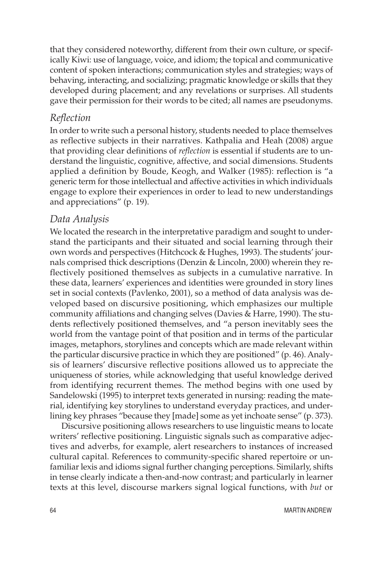that they considered noteworthy, different from their own culture, or specifically Kiwi: use of language, voice, and idiom; the topical and communicative content of spoken interactions; communication styles and strategies; ways of behaving, interacting, and socializing; pragmatic knowledge or skills that they developed during placement; and any revelations or surprises. All students gave their permission for their words to be cited; all names are pseudonyms.

# *Reflection*

In order to write such a personal history, students needed to place themselves as reflective subjects in their narratives. Kathpalia and Heah (2008) argue that providing clear definitions of *reflection* is essential if students are to understand the linguistic, cognitive, affective, and social dimensions. Students applied a definition by Boude, Keogh, and Walker (1985): reflection is "a generic term for those intellectual and affective activities in which individuals engage to explore their experiences in order to lead to new understandings and appreciations" (p. 19).

# *Data Analysis*

We located the research in the interpretative paradigm and sought to understand the participants and their situated and social learning through their own words and perspectives (Hitchcock & Hughes, 1993). The students' journals comprised thick descriptions (Denzin & Lincoln, 2000) wherein they reflectively positioned themselves as subjects in a cumulative narrative. In these data, learners' experiences and identities were grounded in story lines set in social contexts (Pavlenko, 2001), so a method of data analysis was developed based on discursive positioning, which emphasizes our multiple community affiliations and changing selves (Davies & Harre, 1990). The students reflectively positioned themselves, and "a person inevitably sees the world from the vantage point of that position and in terms of the particular images, metaphors, storylines and concepts which are made relevant within the particular discursive practice in which they are positioned" (p. 46). Analysis of learners' discursive reflective positions allowed us to appreciate the uniqueness of stories, while acknowledging that useful knowledge derived from identifying recurrent themes. The method begins with one used by Sandelowski (1995) to interpret texts generated in nursing: reading the material, identifying key storylines to understand everyday practices, and underlining key phrases "because they [made] some as yet inchoate sense" (p. 373).

Discursive positioning allows researchers to use linguistic means to locate writers' reflective positioning. Linguistic signals such as comparative adjectives and adverbs, for example, alert researchers to instances of increased cultural capital. References to community-specific shared repertoire or unfamiliar lexis and idioms signal further changing perceptions. Similarly, shifts in tense clearly indicate a then-and-now contrast; and particularly in learner texts at this level, discourse markers signal logical functions, with *but* or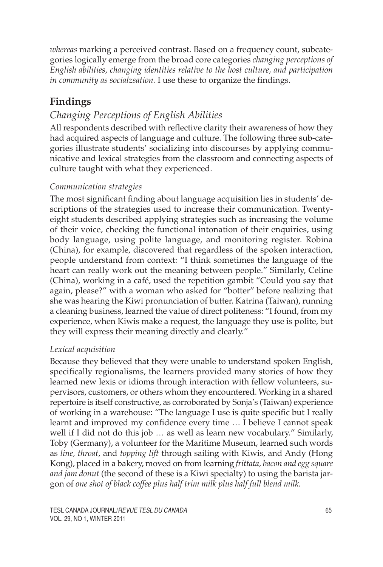*whereas* marking a perceived contrast. Based on a frequency count, subcategories logically emerge from the broad core categories *changing perceptions of English abilities, changing identities relative to the host culture, and participation in community as socialzsation.* I use these to organize the findings.

# **Findings**

# *Changing Perceptions of English Abilities*

All respondents described with reflective clarity their awareness of how they had acquired aspects of language and culture. The following three sub-categories illustrate students' socializing into discourses by applying communicative and lexical strategies from the classroom and connecting aspects of culture taught with what they experienced.

### *Communication strategies*

The most significant finding about language acquisition lies in students' descriptions of the strategies used to increase their communication. Twentyeight students described applying strategies such as increasing the volume of their voice, checking the functional intonation of their enquiries, using body language, using polite language, and monitoring register. Robina (China), for example, discovered that regardless of the spoken interaction, people understand from context: "I think sometimes the language of the heart can really work out the meaning between people." Similarly, Celine (China), working in a café, used the repetition gambit "Could you say that again, please?" with a woman who asked for "botter" before realizing that she was hearing the Kiwi pronunciation of butter. Katrina (Taiwan), running a cleaning business, learned the value of direct politeness: "I found, from my experience, when Kiwis make a request, the language they use is polite, but they will express their meaning directly and clearly."

# *Lexical acquisition*

Because they believed that they were unable to understand spoken English, specifically regionalisms, the learners provided many stories of how they learned new lexis or idioms through interaction with fellow volunteers, supervisors, customers, or others whom they encountered. Working in a shared repertoire is itself constructive, as corroborated by Sonja's (Taiwan) experience of working in a warehouse: "The language I use is quite specific but I really learnt and improved my confidence every time … I believe I cannot speak well if I did not do this job … as well as learn new vocabulary." Similarly, Toby (Germany), a volunteer for the Maritime Museum, learned such words as *line, throat*, and *topping lift* through sailing with Kiwis, and Andy (Hong Kong), placed in a bakery, moved on from learning *frittata, bacon and egg square and jam donut* (the second of these is a Kiwi specialty) to using the barista jargon of *one shot of black coffee plus half trim milk plus half full blend milk.*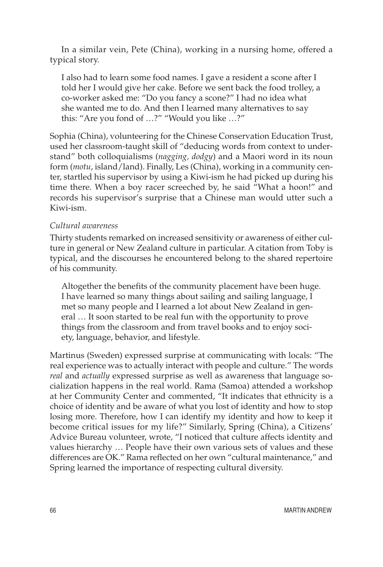In a similar vein, Pete (China), working in a nursing home, offered a typical story.

I also had to learn some food names. I gave a resident a scone after I told her I would give her cake. Before we sent back the food trolley, a co-worker asked me: "Do you fancy a scone?" I had no idea what she wanted me to do. And then I learned many alternatives to say this: "Are you fond of …?" "Would you like …?"

Sophia (China), volunteering for the Chinese Conservation Education Trust, used her classroom-taught skill of "deducing words from context to understand" both colloquialisms (*nagging, dodgy*) and a Maori word in its noun form (*motu*, island/land). Finally, Les (China), working in a community center, startled his supervisor by using a Kiwi-ism he had picked up during his time there. When a boy racer screeched by, he said "What a hoon!" and records his supervisor's surprise that a Chinese man would utter such a Kiwi-ism.

#### *Cultural awareness*

Thirty students remarked on increased sensitivity or awareness of either culture in general or New Zealand culture in particular. A citation from Toby is typical, and the discourses he encountered belong to the shared repertoire of his community.

Altogether the benefits of the community placement have been huge. I have learned so many things about sailing and sailing language, I met so many people and I learned a lot about New Zealand in general … It soon started to be real fun with the opportunity to prove things from the classroom and from travel books and to enjoy society, language, behavior, and lifestyle.

Martinus (Sweden) expressed surprise at communicating with locals: "The real experience was to actually interact with people and culture." The words *real* and *actually* expressed surprise as well as awareness that language socialization happens in the real world. Rama (Samoa) attended a workshop at her Community Center and commented, "It indicates that ethnicity is a choice of identity and be aware of what you lost of identity and how to stop losing more. Therefore, how I can identify my identity and how to keep it become critical issues for my life?" Similarly, Spring (China), a Citizens' Advice Bureau volunteer, wrote, "I noticed that culture affects identity and values hierarchy … People have their own various sets of values and these differences are OK." Rama reflected on her own "cultural maintenance," and Spring learned the importance of respecting cultural diversity.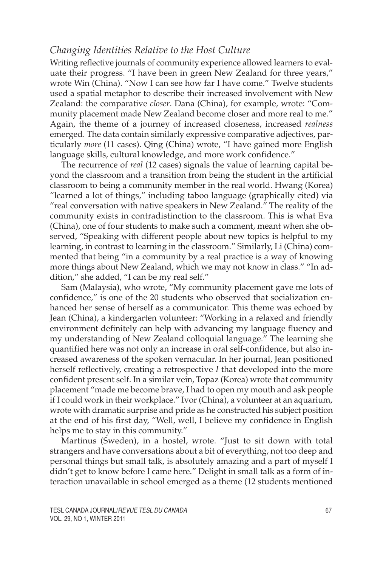# *Changing Identities Relative to the Host Culture*

Writing reflective journals of community experience allowed learners to evaluate their progress. "I have been in green New Zealand for three years," wrote Win (China). "Now I can see how far I have come." Twelve students used a spatial metaphor to describe their increased involvement with New Zealand: the comparative *closer*. Dana (China), for example, wrote: "Community placement made New Zealand become closer and more real to me." Again, the theme of a journey of increased closeness, increased *realness* emerged. The data contain similarly expressive comparative adjectives, particularly *more* (11 cases). Qing (China) wrote, "I have gained more English language skills, cultural knowledge, and more work confidence."

The recurrence of *real* (12 cases) signals the value of learning capital beyond the classroom and a transition from being the student in the artificial classroom to being a community member in the real world. Hwang (Korea) "learned a lot of things," including taboo language (graphically cited) via "real conversation with native speakers in New Zealand." The reality of the community exists in contradistinction to the classroom. This is what Eva (China), one of four students to make such a comment, meant when she observed, "Speaking with different people about new topics is helpful to my learning, in contrast to learning in the classroom." Similarly, Li (China) commented that being "in a community by a real practice is a way of knowing more things about New Zealand, which we may not know in class." "In addition," she added, "I can be my real self."

Sam (Malaysia), who wrote, "My community placement gave me lots of confidence," is one of the 20 students who observed that socialization enhanced her sense of herself as a communicator. This theme was echoed by Jean (China), a kindergarten volunteer: "Working in a relaxed and friendly environment definitely can help with advancing my language fluency and my understanding of New Zealand colloquial language." The learning she quantified here was not only an increase in oral self-confidence, but also increased awareness of the spoken vernacular. In her journal, Jean positioned herself reflectively, creating a retrospective *I* that developed into the more confident present self. In a similar vein, Topaz (Korea) wrote that community placement "made me become brave, I had to open my mouth and ask people if I could work in their workplace." Ivor (China), a volunteer at an aquarium, wrote with dramatic surprise and pride as he constructed his subject position at the end of his first day, "Well, well, I believe my confidence in English helps me to stay in this community."

Martinus (Sweden), in a hostel, wrote. "Just to sit down with total strangers and have conversations about a bit of everything, not too deep and personal things but small talk, is absolutely amazing and a part of myself I didn't get to know before I came here." Delight in small talk as a form of interaction unavailable in school emerged as a theme (12 students mentioned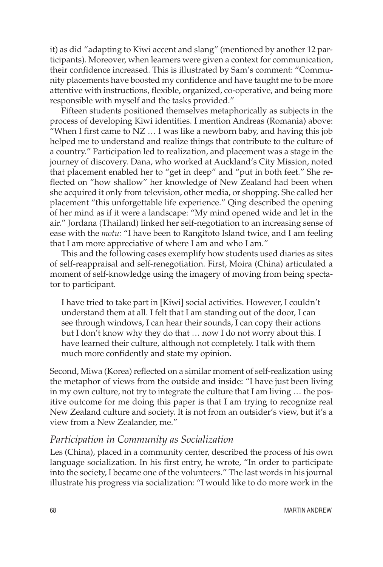it) as did "adapting to Kiwi accent and slang" (mentioned by another 12 participants). Moreover, when learners were given a context for communication, their confidence increased. This is illustrated by Sam's comment: "Community placements have boosted my confidence and have taught me to be more attentive with instructions, flexible, organized, co-operative, and being more responsible with myself and the tasks provided."

Fifteen students positioned themselves metaphorically as subjects in the process of developing Kiwi identities. I mention Andreas (Romania) above: "When I first came to  $NZ$   $\ldots$  I was like a newborn baby, and having this job helped me to understand and realize things that contribute to the culture of a country." Participation led to realization, and placement was a stage in the journey of discovery. Dana, who worked at Auckland's City Mission, noted that placement enabled her to "get in deep" and "put in both feet." She reflected on "how shallow" her knowledge of New Zealand had been when she acquired it only from television, other media, or shopping. She called her placement "this unforgettable life experience." Qing described the opening of her mind as if it were a landscape: "My mind opened wide and let in the air." Jordana (Thailand) linked her self-negotiation to an increasing sense of ease with the *motu:* "I have been to Rangitoto Island twice, and I am feeling that I am more appreciative of where I am and who I am."

This and the following cases exemplify how students used diaries as sites of self-reappraisal and self-renegotiation. First, Moira (China) articulated a moment of self-knowledge using the imagery of moving from being spectator to participant.

I have tried to take part in [Kiwi] social activities. However, I couldn't understand them at all. I felt that I am standing out of the door, I can see through windows, I can hear their sounds, I can copy their actions but I don't know why they do that … now I do not worry about this. I have learned their culture, although not completely. I talk with them much more confidently and state my opinion.

Second, Miwa (Korea) reflected on a similar moment of self-realization using the metaphor of views from the outside and inside: "I have just been living in my own culture, not try to integrate the culture that I am living … the positive outcome for me doing this paper is that I am trying to recognize real New Zealand culture and society. It is not from an outsider's view, but it's a view from a New Zealander, me."

#### *Participation in Community as Socialization*

Les (China), placed in a community center, described the process of his own language socialization. In his first entry, he wrote, "In order to participate into the society, I became one of the volunteers." The last words in his journal illustrate his progress via socialization: "I would like to do more work in the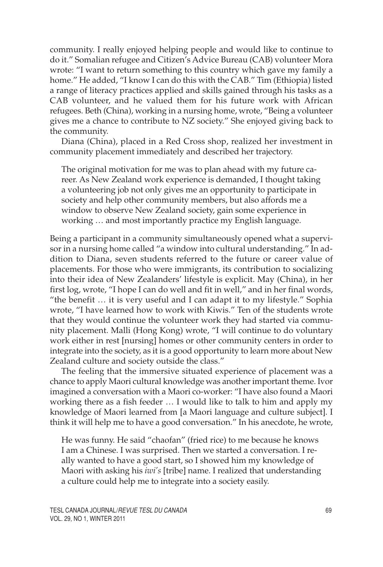community. I really enjoyed helping people and would like to continue to do it." Somalian refugee and Citizen's Advice Bureau (CAB) volunteer Mora wrote: "I want to return something to this country which gave my family a home." He added, "I know I can do this with the CAB." Tim (Ethiopia) listed a range of literacy practices applied and skills gained through his tasks as a CAB volunteer, and he valued them for his future work with African refugees. Beth (China), working in a nursing home, wrote, "Being a volunteer gives me a chance to contribute to NZ society." She enjoyed giving back to the community.

Diana (China), placed in a Red Cross shop, realized her investment in community placement immediately and described her trajectory.

The original motivation for me was to plan ahead with my future career. As New Zealand work experience is demanded, I thought taking a volunteering job not only gives me an opportunity to participate in society and help other community members, but also affords me a window to observe New Zealand society, gain some experience in working … and most importantly practice my English language.

Being a participant in a community simultaneously opened what a supervisor in a nursing home called "a window into cultural understanding." In addition to Diana, seven students referred to the future or career value of placements. For those who were immigrants, its contribution to socializing into their idea of New Zealanders' lifestyle is explicit. May (China), in her first log, wrote, "I hope I can do well and fit in well," and in her final words, "the benefit … it is very useful and I can adapt it to my lifestyle." Sophia wrote, "I have learned how to work with Kiwis." Ten of the students wrote that they would continue the volunteer work they had started via community placement. Malli (Hong Kong) wrote, "I will continue to do voluntary work either in rest [nursing] homes or other community centers in order to integrate into the society, as it is a good opportunity to learn more about New Zealand culture and society outside the class."

The feeling that the immersive situated experience of placement was a chance to apply Maori cultural knowledge was another important theme. Ivor imagined a conversation with a Maori co-worker: "I have also found a Maori working there as a fish feeder … I would like to talk to him and apply my knowledge of Maori learned from [a Maori language and culture subject]. I think it will help me to have a good conversation." In his anecdote, he wrote,

He was funny. He said "chaofan" (fried rice) to me because he knows I am a Chinese. I was surprised. Then we started a conversation. I really wanted to have a good start, so I showed him my knowledge of Maori with asking his *iwi's* [tribe] name. I realized that understanding a culture could help me to integrate into a society easily.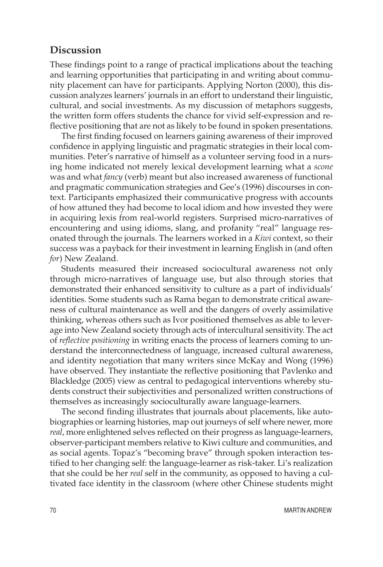### **Discussion**

These findings point to a range of practical implications about the teaching and learning opportunities that participating in and writing about community placement can have for participants. Applying Norton (2000), this discussion analyzes learners' journals in an effort to understand their linguistic, cultural, and social investments. As my discussion of metaphors suggests, the written form offers students the chance for vivid self-expression and reflective positioning that are not as likely to be found in spoken presentations.

The first finding focused on learners gaining awareness of their improved confidence in applying linguistic and pragmatic strategies in their local communities. Peter's narrative of himself as a volunteer serving food in a nursing home indicated not merely lexical development learning what a *scone* was and what *fancy* (verb) meant but also increased awareness of functional and pragmatic communication strategies and Gee's (1996) discourses in context. Participants emphasized their communicative progress with accounts of how attuned they had become to local idiom and how invested they were in acquiring lexis from real-world registers. Surprised micro-narratives of encountering and using idioms, slang, and profanity "real" language resonated through the journals. The learners worked in a *Kiwi* context, so their success was a payback for their investment in learning English in (and often *for*) New Zealand.

Students measured their increased sociocultural awareness not only through micro-narratives of language use, but also through stories that demonstrated their enhanced sensitivity to culture as a part of individuals' identities. Some students such as Rama began to demonstrate critical awareness of cultural maintenance as well and the dangers of overly assimilative thinking, whereas others such as Ivor positioned themselves as able to leverage into New Zealand society through acts of intercultural sensitivity. The act of *reflective positioning* in writing enacts the process of learners coming to understand the interconnectedness of language, increased cultural awareness, and identity negotiation that many writers since McKay and Wong (1996) have observed. They instantiate the reflective positioning that Pavlenko and Blackledge (2005) view as central to pedagogical interventions whereby students construct their subjectivities and personalized written constructions of themselves as increasingly socioculturally aware language-learners.

The second finding illustrates that journals about placements, like autobiographies or learning histories, map out journeys of self where newer, more *real*, more enlightened selves reflected on their progress as language-learners, observer-participant members relative to Kiwi culture and communities, and as social agents. Topaz's "becoming brave" through spoken interaction testified to her changing self: the language-learner as risk-taker. Li's realization that she could be her *real* self in the community, as opposed to having a cultivated face identity in the classroom (where other Chinese students might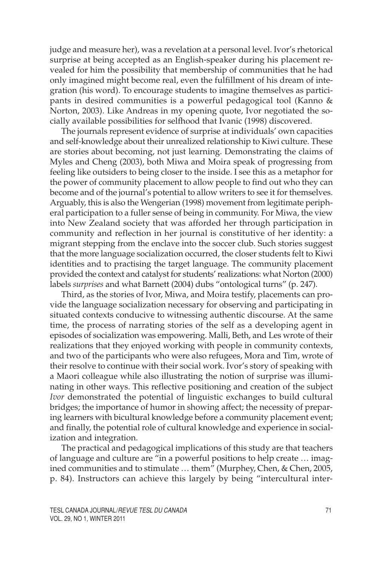judge and measure her), was a revelation at a personal level. Ivor's rhetorical surprise at being accepted as an English-speaker during his placement revealed for him the possibility that membership of communities that he had only imagined might become real, even the fulfillment of his dream of integration (his word). To encourage students to imagine themselves as participants in desired communities is a powerful pedagogical tool (Kanno & Norton, 2003). Like Andreas in my opening quote, Ivor negotiated the socially available possibilities for selfhood that Ivanic (1998) discovered.

The journals represent evidence of surprise at individuals' own capacities and self-knowledge about their unrealized relationship to Kiwi culture. These are stories about becoming, not just learning. Demonstrating the claims of Myles and Cheng (2003), both Miwa and Moira speak of progressing from feeling like outsiders to being closer to the inside. I see this as a metaphor for the power of community placement to allow people to find out who they can become and of the journal's potential to allow writers to see it for themselves. Arguably, this is also the Wengerian (1998) movement from legitimate peripheral participation to a fuller sense of being in community. For Miwa, the view into New Zealand society that was afforded her through participation in community and reflection in her journal is constitutive of her identity: a migrant stepping from the enclave into the soccer club. Such stories suggest that the more language socialization occurred, the closer students felt to Kiwi identities and to practising the target language. The community placement provided the context and catalyst for students' realizations: what Norton (2000) labels *surprises* and what Barnett (2004) dubs "ontological turns" (p. 247).

Third, as the stories of Ivor, Miwa, and Moira testify, placements can provide the language socialization necessary for observing and participating in situated contexts conducive to witnessing authentic discourse. At the same time, the process of narrating stories of the self as a developing agent in episodes of socialization was empowering. Malli, Beth, and Les wrote of their realizations that they enjoyed working with people in community contexts, and two of the participants who were also refugees, Mora and Tim, wrote of their resolve to continue with their social work. Ivor's story of speaking with a Maori colleague while also illustrating the notion of surprise was illuminating in other ways. This reflective positioning and creation of the subject *Ivor* demonstrated the potential of linguistic exchanges to build cultural bridges; the importance of humor in showing affect; the necessity of preparing learners with bicultural knowledge before a community placement event; and finally, the potential role of cultural knowledge and experience in socialization and integration.

The practical and pedagogical implications of this study are that teachers of language and culture are "in a powerful positions to help create … imagined communities and to stimulate … them" (Murphey, Chen, & Chen, 2005, p. 84). Instructors can achieve this largely by being "intercultural inter-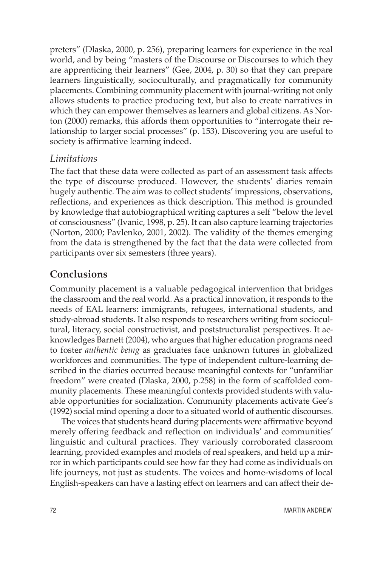preters" (Dlaska, 2000, p. 256), preparing learners for experience in the real world, and by being "masters of the Discourse or Discourses to which they are apprenticing their learners" (Gee, 2004, p. 30) so that they can prepare learners linguistically, socioculturally, and pragmatically for community placements. Combining community placement with journal-writing not only allows students to practice producing text, but also to create narratives in which they can empower themselves as learners and global citizens. As Norton (2000) remarks, this affords them opportunities to "interrogate their relationship to larger social processes" (p. 153). Discovering you are useful to society is affirmative learning indeed.

### *Limitations*

The fact that these data were collected as part of an assessment task affects the type of discourse produced. However, the students' diaries remain hugely authentic. The aim was to collect students' impressions, observations, reflections, and experiences as thick description. This method is grounded by knowledge that autobiographical writing captures a self "below the level of consciousness" (Ivanic, 1998, p. 25). It can also capture learning trajectories (Norton, 2000; Pavlenko, 2001, 2002). The validity of the themes emerging from the data is strengthened by the fact that the data were collected from participants over six semesters (three years).

### **Conclusions**

Community placement is a valuable pedagogical intervention that bridges the classroom and the real world. As a practical innovation, it responds to the needs of EAL learners: immigrants, refugees, international students, and study-abroad students. It also responds to researchers writing from sociocultural, literacy, social constructivist, and poststructuralist perspectives. It acknowledges Barnett (2004), who argues that higher education programs need to foster *authentic being* as graduates face unknown futures in globalized workforces and communities. The type of independent culture-learning described in the diaries occurred because meaningful contexts for "unfamiliar freedom" were created (Dlaska, 2000, p.258) in the form of scaffolded community placements. These meaningful contexts provided students with valuable opportunities for socialization. Community placements activate Gee's (1992) social mind opening a door to a situated world of authentic discourses.

The voices that students heard during placements were affirmative beyond merely offering feedback and reflection on individuals' and communities' linguistic and cultural practices. They variously corroborated classroom learning, provided examples and models of real speakers, and held up a mirror in which participants could see how far they had come as individuals on life journeys, not just as students. The voices and home-wisdoms of local English-speakers can have a lasting effect on learners and can affect their de-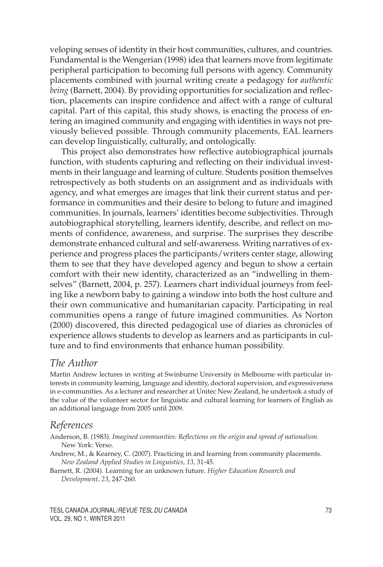veloping senses of identity in their host communities, cultures, and countries. Fundamental is the Wengerian (1998) idea that learners move from legitimate peripheral participation to becoming full persons with agency. Community placements combined with journal writing create a pedagogy for *authentic being* (Barnett, 2004). By providing opportunities for socialization and reflection, placements can inspire confidence and affect with a range of cultural capital. Part of this capital, this study shows, is enacting the process of entering an imagined community and engaging with identities in ways not previously believed possible. Through community placements, EAL learners can develop linguistically, culturally, and ontologically.

This project also demonstrates how reflective autobiographical journals function, with students capturing and reflecting on their individual investments in their language and learning of culture. Students position themselves retrospectively as both students on an assignment and as individuals with agency, and what emerges are images that link their current status and performance in communities and their desire to belong to future and imagined communities. In journals, learners' identities become subjectivities. Through autobiographical storytelling, learners identify, describe, and reflect on moments of confidence, awareness, and surprise. The surprises they describe demonstrate enhanced cultural and self-awareness. Writing narratives of experience and progress places the participants/writers center stage, allowing them to see that they have developed agency and begun to show a certain comfort with their new identity, characterized as an "indwelling in themselves" (Barnett, 2004, p. 257). Learners chart individual journeys from feeling like a newborn baby to gaining a window into both the host culture and their own communicative and humanitarian capacity. Participating in real communities opens a range of future imagined communities. As Norton (2000) discovered, this directed pedagogical use of diaries as chronicles of experience allows students to develop as learners and as participants in culture and to find environments that enhance human possibility.

### *The Author*

Martin Andrew lectures in writing at Swinburne University in Melbourne with particular interests in community learning, language and identity, doctoral supervision, and expressiveness in e-communities. As a lecturer and researcher at Unitec New Zealand, he undertook a study of the value of the volunteer sector for linguistic and cultural learning for learners of English as an additional language from 2005 until 2009.

### *References*

Anderson, B. (1983). *Imagined communities: Reflections on the origin and spread of nationalism.* New York: Verso.

Andrew, M., & Kearney, C. (2007). Practicing in and learning from community placements. *New Zealand Applied Studies in Linguistics, 13,* 31-45.

Barnett, R. (2004). Learning for an unknown future. *Higher Education Research and Development, 23*, 247-260.

TESL CANADA JOURNAL/*REVUE TESL DU CANADA* 73 VOL. 29, NO 1, WINTER 2011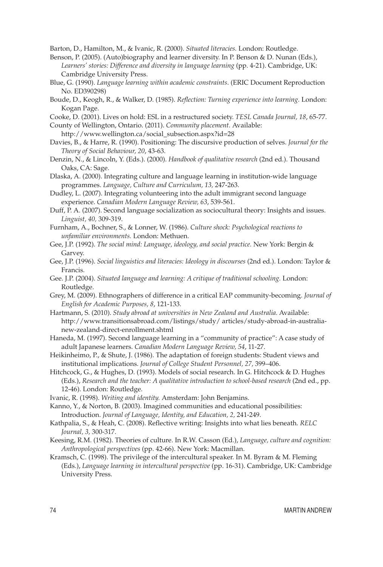Barton, D., Hamilton, M., & Ivanic, R. (2000). *Situated literacies.* London: Routledge.

- Benson, P. (2005). (Auto)biography and learner diversity. In P. Benson & D. Nunan (Eds.), *Learners' stories: Difference and diversity in language learning* (pp. 4-21). Cambridge, UK: Cambridge University Press.
- Blue, G. (1990). *Language learning within academic constraints*. (ERIC Document Reproduction No. ED390298)
- Boude, D., Keogh, R., & Walker, D. (1985). *Reflection: Turning experience into learning.* London: Kogan Page.
- Cooke, D. (2001). Lives on hold: ESL in a restructured society. *TESL Canada Journal, 18*, 65-77.

County of Wellington, Ontario. (2011). *Community placement.* Available: http://www.wellington.ca/social\_subsection.aspx?id=28

- Davies, B., & Harre, R. (1990). Positioning: The discursive production of selves. *Journal for the Theory of Social Behaviour, 20*, 43-63.
- Denzin, N., & Lincoln, Y. (Eds.). (2000). *Handbook of qualitative research* (2nd ed.). Thousand Oaks, CA: Sage.

Dlaska, A. (2000). Integrating culture and language learning in institution-wide language programmes. *Language, Culture and Curriculum, 13,* 247-263.

Dudley, L. (2007). Integrating volunteering into the adult immigrant second language experience. *Canadian Modern Language Review, 63*, 539-561.

- Duff, P. A. (2007). Second language socialization as sociocultural theory: Insights and issues. *Linguist, 40,* 309-319.
- Furnham, A., Bochner, S., & Lonner, W. (1986). *Culture shock: Psychological reactions to unfamiliar environments.* London: Methuen.
- Gee, J.P. (1992). *The social mind: Language, ideology, and social practice.* New York: Bergin & Garvey.
- Gee, J.P. (1996). *Social linguistics and literacies: Ideology in discourses* (2nd ed.). London: Taylor & Francis.
- Gee. J.P. (2004). *Situated language and learning: A critique of traditional schooling.* London: Routledge.

Grey, M. (2009). Ethnographers of difference in a critical EAP community-becoming. *Journal of English for Academic Purposes, 8*, 121-133.

Hartmann, S. (2010). *Study abroad at universities in New Zealand and Australia.* Available: http://www.transitionsabroad.com/listings/study/ articles/study-abroad-in-australianew-zealand-direct-enrollment.shtml

Haneda, M. (1997). Second language learning in a "community of practice": A case study of adult Japanese learners. *Canadian Modern Language Review, 54*, 11-27.

- Heikinheimo, P., & Shute, J. (1986). The adaptation of foreign students: Student views and institutional implications. *Journal of College Student Personnel, 27,* 399–406.
- Hitchcock, G., & Hughes, D. (1993). Models of social research. In G. Hitchcock & D. Hughes (Eds.), *Research and the teacher: A qualitative introduction to school-based research* (2nd ed., pp. 12-46). London: Routledge.
- Ivanic, R. (1998). *Writing and identity.* Amsterdam: John Benjamins.

Kanno, Y., & Norton, B. (2003). Imagined communities and educational possibilities: Introduction. *Journal of Language, Identity, and Education, 2,* 241-249.

- Kathpalia, S., & Heah, C. (2008). Reflective writing: Insights into what lies beneath. *RELC Journal, 3,* 300-317.
- Keesing, R.M. (1982). Theories of culture. In R.W. Casson (Ed.), *Language, culture and cognition: Anthropological perspectives* (pp. 42-66). New York: Macmillan.
- Kramsch, C. (1998). The privilege of the intercultural speaker. In M. Byram & M. Fleming (Eds.), *Language learning in intercultural perspective* (pp. 16-31). Cambridge, UK: Cambridge University Press.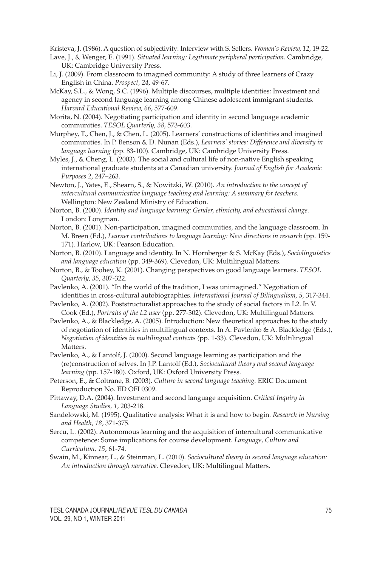Kristeva, J. (1986). A question of subjectivity: Interview with S. Sellers. *Women's Review, 12*, 19-22.

- Lave, J., & Wenger, E. (1991). *Situated learning: Legitimate peripheral participation.* Cambridge, UK: Cambridge University Press.
- Li, J. (2009). From classroom to imagined community: A study of three learners of Crazy English in China. *Prospect, 24*, 49-67.
- McKay, S.L., & Wong, S.C. (1996). Multiple discourses, multiple identities: Investment and agency in second language learning among Chinese adolescent immigrant students. *Harvard Educational Review, 66*, 577-609.
- Morita, N. (2004). Negotiating participation and identity in second language academic communities. *TESOL Quarterly, 38*, 573-603.
- Murphey, T., Chen, J., & Chen, L. (2005). Learners' constructions of identities and imagined communities. In P. Benson & D. Nunan (Eds.), *Learners' stories: Difference and diversity in language learning* (pp. 83-100). Cambridge, UK: Cambridge University Press.
- Myles, J., & Cheng, L. (2003). The social and cultural life of non-native English speaking international graduate students at a Canadian university. *Journal of English for Academic Purposes 2*, 247–263.
- Newton, J., Yates, E., Shearn, S., & Nowitzki, W. (2010). *An introduction to the concept of intercultural communicative language teaching and learning: A summary for teachers.* Wellington: New Zealand Ministry of Education.
- Norton, B. (2000). *Identity and language learning: Gender, ethnicity, and educational change*. London: Longman.
- Norton, B. (2001). Non-participation, imagined communities, and the language classroom. In M. Breen (Ed.), *Learner contributions to language learning: New directions in research* (pp. 159- 171). Harlow, UK: Pearson Education.
- Norton, B. (2010). Language and identity. In N. Hornberger & S. McKay (Eds.), *Sociolinguistics and language education* (pp. 349-369). Clevedon, UK: Multilingual Matters.
- Norton, B., & Toohey, K. (2001). Changing perspectives on good language learners. *TESOL Quarterly, 35*, 307-322.
- Pavlenko, A. (2001). "In the world of the tradition, I was unimagined." Negotiation of identities in cross-cultural autobiographies. *International Journal of Bilingualism, 5*, 317-344.
- Pavlenko, A. (2002). Poststructuralist approaches to the study of social factors in L2. In V. Cook (Ed.), *Portraits of the L2 user* (pp. 277-302). Clevedon, UK: Multilingual Matters.
- Pavlenko, A., & Blackledge, A. (2005). Introduction: New theoretical approaches to the study of negotiation of identities in multilingual contexts. In A. Pavlenko & A. Blackledge (Eds.), *Negotiation of identities in multilingual contexts (*pp. 1-33). Clevedon, UK: Multilingual Matters.
- Pavlenko, A., & Lantolf, J. (2000). Second language learning as participation and the (re)construction of selves. In J.P. Lantolf (Ed.), *Sociocultural theory and second language learning* (pp. 157-180). Oxford, UK: Oxford University Press.
- Peterson, E., & Coltrane, B. (2003). *Culture in second language teaching.* ERIC Document Reproduction No. ED OFL0309.
- Pittaway, D.A. (2004). Investment and second language acquisition. *Critical Inquiry in Language Studies, 1*, 203-218.
- Sandelowski, M. (1995). Qualitative analysis: What it is and how to begin. *Research in Nursing and Health, 18*, 371-375.
- Sercu, L. (2002). Autonomous learning and the acquisition of intercultural communicative competence: Some implications for course development. *Language, Culture and Curriculum, 15*, 61-74.
- Swain, M., Kinnear, L., & Steinman, L. (2010). *Sociocultural theory in second language education: An introduction through narrative.* Clevedon, UK: Multilingual Matters.

TESL CANADA JOURNAL/*REVUE TESL DU CANADA* 75 VOL. 29, NO 1, WINTER 2011